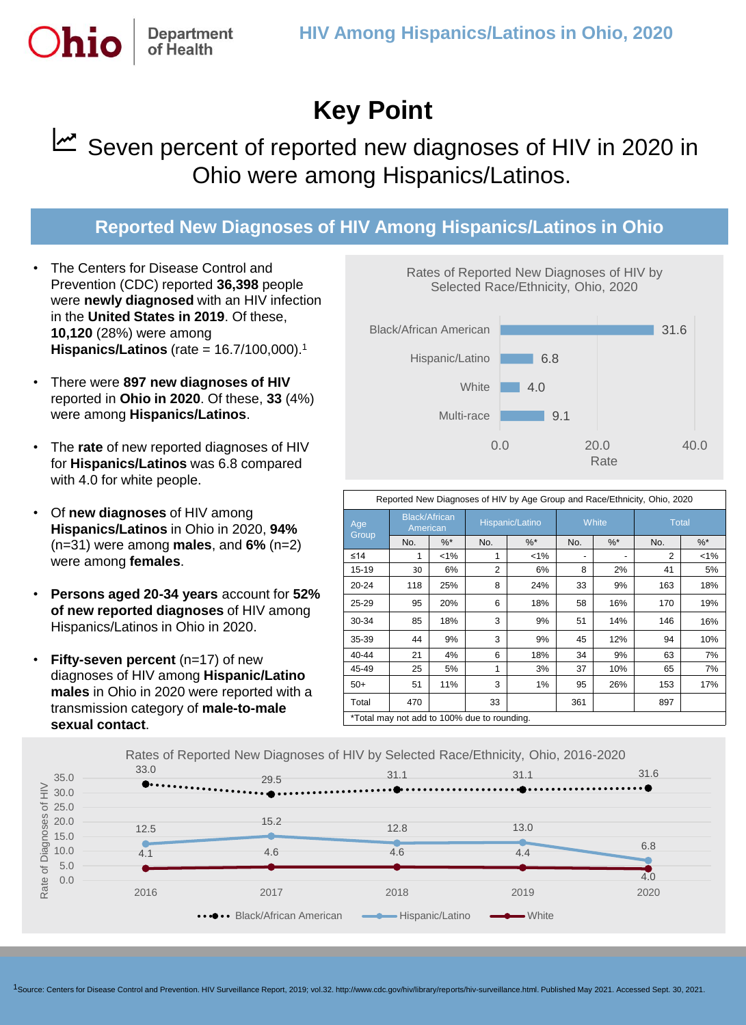

## Seven percent of reported new diagnoses of HIV in 2020 in Ohio were among Hispanics/Latinos.

## **Reported New Diagnoses of HIV Among Hispanics/Latinos in Ohio**

The Centers for Disease Control and Prevention (CDC) reported **36,398** people were **newly diagnosed** with an HIV infection in the **United States in 2019**. Of these, **10,120** (28%) were among **Hispanics/Latinos** (rate = 16.7/100,000).<sup>1</sup>

**Department** of Health

- There were **897 new diagnoses of HIV**  reported in **Ohio in 2020**. Of these, **33** (4%) were among **Hispanics/Latinos**.
- The **rate** of new reported diagnoses of HIV for **Hispanics/Latinos** was 6.8 compared with 4.0 for white people.
- Of **new diagnoses** of HIV among **Hispanics/Latinos** in Ohio in 2020, **94%** (n=31) were among **males**, and **6%** (n=2) were among **females**.
- **Persons aged 20-34 years** account for **52% of new reported diagnoses** of HIV among Hispanics/Latinos in Ohio in 2020.
- **Fifty-seven percent** (n=17) of new diagnoses of HIV among **Hispanic/Latino males** in Ohio in 2020 were reported with a transmission category of **male-to-male sexual contact**.



Rates of Reported New Diagnoses of HIV by

| Reported New Diagnoses of HIV by Age Group and Race/Ethnicity, Ohio, 2020 |                                  |       |                 |         |       |       |       |               |
|---------------------------------------------------------------------------|----------------------------------|-------|-----------------|---------|-------|-------|-------|---------------|
| Age<br>Group                                                              | <b>Black/African</b><br>American |       | Hispanic/Latino |         | White |       | Total |               |
|                                                                           | No.                              | $%$ * | No.             | $%^*$   | No.   | $%^*$ | No.   | $\frac{9}{6}$ |
| ≤14                                                                       | 1                                | $1\%$ | 1               | $< 1\%$ |       |       | 2     | 1%            |
| $15 - 19$                                                                 | 30                               | 6%    | 2               | 6%      | 8     | 2%    | 41    | 5%            |
| $20 - 24$                                                                 | 118                              | 25%   | 8               | 24%     | 33    | 9%    | 163   | 18%           |
| 25-29                                                                     | 95                               | 20%   | 6               | 18%     | 58    | 16%   | 170   | 19%           |
| 30-34                                                                     | 85                               | 18%   | 3               | 9%      | 51    | 14%   | 146   | 16%           |
| 35-39                                                                     | 44                               | 9%    | 3               | 9%      | 45    | 12%   | 94    | 10%           |
| $40 - 44$                                                                 | 21                               | 4%    | 6               | 18%     | 34    | 9%    | 63    | 7%            |
| 45-49                                                                     | 25                               | 5%    | 1               | 3%      | 37    | 10%   | 65    | 7%            |
| $50+$                                                                     | 51                               | 11%   | 3               | 1%      | 95    | 26%   | 153   | 17%           |
| Total                                                                     | 470                              |       | 33              |         | 361   |       | 897   |               |
| *Total may not add to 100% due to rounding.                               |                                  |       |                 |         |       |       |       |               |



1Source: Centers for Disease Control and Prevention. HIV Surveillance Report, 2019; vol.32. http://www.cdc.gov/hiv/library/reports/hiv-surveillance.html. Published May 2021. Accessed Sept. 30, 2021.